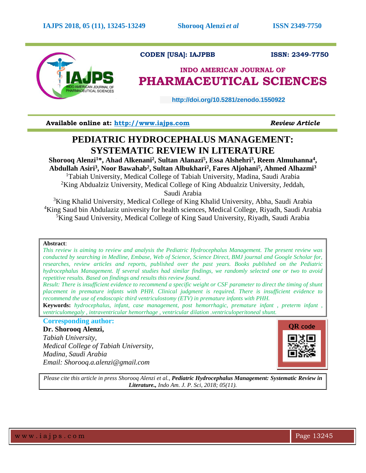

# **CODEN [USA]: IAJPBB ISSN: 2349-7750**

# **INDO AMERICAN JOURNAL OF PHARMACEUTICAL SCIENCES**

 **http://doi.org/10.5281/zenodo.1550922** 

**Available online at: [http://www.iajps.com](http://www.iajps.com/)** *Review Article*

# **PEDIATRIC HYDROCEPHALUS MANAGEMENT: SYSTEMATIC REVIEW IN LITERATURE**

**Shorooq Alenzi<sup>1</sup>\*, Ahad Alkenani<sup>2</sup> , Sultan Alanazi<sup>5</sup> , Essa Alshehri<sup>3</sup> , Reem Almuhanna<sup>4</sup> , Abdullah Asiri<sup>3</sup> , Noor Bawahab<sup>2</sup> , Sultan Albukhari<sup>2</sup> , Fares Aljohani<sup>5</sup> , Ahmed Alhazmi<sup>3</sup>**

<sup>1</sup>Tabiah University, Medical College of Tabiah University, Madina, Saudi Arabia <sup>2</sup>King Abdualziz University, Medical College of King Abdualziz University, Jeddah,

Saudi Arabia

<sup>3</sup>King Khalid University, Medical College of King Khalid University, Abha, Saudi Arabia <sup>4</sup>King Saud bin Abdulaziz university for health sciences, Medical College, Riyadh, Saudi Arabia <sup>5</sup>King Saud University, Medical College of King Saud University, Riyadh, Saudi Arabia

# **Abstract**:

*This review is aiming to review and analysis the Pediatric Hydrocephalus Management. The present review was conducted by searching in Medline, Embase, Web of Science, Science Direct, BMJ journal and Google Scholar for, researches, review articles and reports, published over the past years. Books published on the Pediatric hydrocephalus Management. If several studies had similar findings, we randomly selected one or two to avoid repetitive results. Based on findings and results this review found.*

*Result: There is insufficient evidence to recommend a specific weight or CSF parameter to direct the timing of shunt placement in premature infants with PHH. Clinical judgment is required. There is insufficient evidence to recommend the use of endoscopic third ventriculostomy (ETV) in premature infants with PHH.*

**Keywords:** *hydrocephalus, infant, case management, post hemorrhagic, premature infant , preterm infant , ventriculomegaly , intraventricular hemorrhage , ventricular dilation .ventriculoperitoneal shunt.*

# **Corresponding author:**

**Dr. Shorooq Alenzi,** *Tabiah University, Medical College of Tabiah University, Madina, Saudi Arabia Email: Shorooq.a.alenzi@gmail.com*



*Please cite this article in press Shorooq Alenzi et al., Pediatric Hydrocephalus Management: Systematic Review in Literature., Indo Am. J. P. Sci, 2018; 05(11).*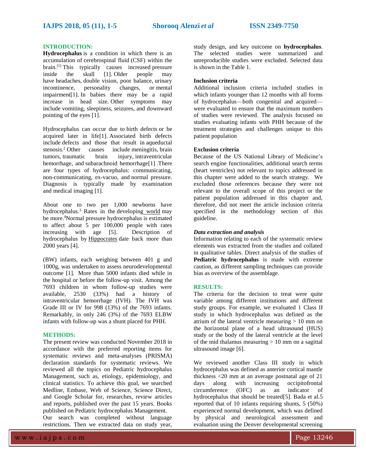# **INTRODUCTION:**

**Hydrocephalus** is a condition in which there is an accumulation of [cerebrospinal fluid](https://en.wikipedia.org/wiki/Cerebrospinal_fluid) (CSF) within the brain.<sup>[\[1\]](https://en.wikipedia.org/wiki/Hydrocephalus#cite_note-NIH2016-1)</sup> This typically causes increased pressure<br>inside the skull [1]. Older people may [inside the skull](https://en.wikipedia.org/wiki/Intracranial_pressure) [\[1\].](https://en.wikipedia.org/wiki/Hydrocephalus#cite_note-NIH2016-1) Older people may have [headaches,](https://en.wikipedia.org/wiki/Headache) [double vision,](https://en.wikipedia.org/wiki/Double_vision) poor balance, [urinary](https://en.wikipedia.org/wiki/Urinary_incontinence)  [incontinence,](https://en.wikipedia.org/wiki/Urinary_incontinence) personality changes, or [mental](https://en.wikipedia.org/wiki/Mental_impairment) [impairment](https://en.wikipedia.org/wiki/Mental_impairment)[\[1\].](https://en.wikipedia.org/wiki/Hydrocephalus#cite_note-NIH2016-1) In babies there may be a rapid increase in head size. Other symptoms may include [vomiting,](https://en.wikipedia.org/wiki/Vomiting) sleepiness, [seizures,](https://en.wikipedia.org/wiki/Seizures) and downward pointing of the eyes [1].

Hydrocephalus can occur due to [birth defects](https://en.wikipedia.org/wiki/Birth_defect) or be acquired later in lif[e\[1\].](https://en.wikipedia.org/wiki/Hydrocephalus#cite_note-NIH2016-1) Associated birth defects include defects and those that result in [aqueductal](https://en.wikipedia.org/wiki/Aqueductal_stenosis)  [stenosis.](https://en.wikipedia.org/wiki/Aqueductal_stenosis) <sup>2</sup> Other causes include [meningitis,](https://en.wikipedia.org/wiki/Meningitis) [brain](https://en.wikipedia.org/wiki/Brain_tumors)  [tumors,](https://en.wikipedia.org/wiki/Brain_tumors) [traumatic brain injury,](https://en.wikipedia.org/wiki/Traumatic_brain_injury) [intraventricular](https://en.wikipedia.org/wiki/Intraventricular_hemorrhage)  [hemorrhage,](https://en.wikipedia.org/wiki/Intraventricular_hemorrhage) and [subarachnoid hemorrhage](https://en.wikipedia.org/wiki/Subarachnoid_hemorrhage)[\[1\]](https://en.wikipedia.org/wiki/Hydrocephalus#cite_note-NIH2016-1). There are four types of hydrocephalus: communicating, non-communicating, ex-vacuo, and [normal pressure.](https://en.wikipedia.org/wiki/Normal_pressure_hydrocephalus) Diagnosis is typically made by examination and [medical imaging](https://en.wikipedia.org/wiki/Medical_imaging) [1].

About one to two per 1,000 newborns have hydrocephalus. $3$  Rates in the [developing](https://en.wikipedia.org/wiki/Developing_world) world may be more.<sup>4</sup>Normal pressure hydrocephalus is estimated to affect about 5 per 100,000 people with rates increasing with age [5]. Description of hydrocephalus by [Hippocrates](https://en.wikipedia.org/wiki/Hippocrates) date back more than 2000 years [4].

(BW) infants, each weighing between 401 g and 1000g, was undertaken to assess neurodevelopmental outcome [1]. More than 5000 infants died while in the hospital or before the follow-up visit. Among the 7693 children in whom follow-up studies were available, 2530 (33%) had a history of intraventricular hemorrhage (IVH). The IVH was Grade III or IV for 998 (13%) of the 7693 infants. Remarkably, in only 246 (3%) of the 7693 ELBW infants with follow-up was a shunt placed for PHH.

# **METHODS:**

The present review was conducted November 2018 in accordance with the preferred reporting items for systematic reviews and meta-analyses (PRISMA) declaration standards for systematic reviews. We reviewed all the topics on Pediatric hydrocephalus Management, such as, etiology, epidemiology, and clinical statistics. To achieve this goal, we searched Medline, Embase, Web of Science, Science Direct, and Google Scholar for, researches, review articles and reports, published over the past 15 years. Books published on Pediatric hydrocephalus Management.

Our search was completed without language restrictions. Then we extracted data on study year,

study design, and key outcome on **hydrocephalus**. The selected studies were summarized and unreproducible studies were excluded. Selected data is shown in the Table 1.

# **Inclusion criteria**

Additional inclusion criteria included studies in which infants younger than 12 months with all forms of hydrocephalus—both congenital and acquired were evaluated to ensure that the maximum numbers of studies were reviewed. The analysis focused on studies evaluating infants with PHH because of the treatment strategies and challenges unique to this patient population

### **Exclusion criteria**

Because of the US National Library of Medicine's search engine functionalities, additional search terms (heart ventricles) not relevant to topics addressed in this chapter were added to the search strategy. We excluded those references because they were not relevant to the overall scope of this project or the patient population addressed in this chapter and, therefore, did not meet the article inclusion criteria specified in the methodology section of this guideline.

### *Data extraction and analysis*

Information relating to each of the systematic review elements was extracted from the studies and collated in qualitative tables. Direct analysis of the studies of **Pediatric hydrocephalus** is made with extreme caution, as different sampling techniques can provide bias as overview of the assemblage.

# **RESULTS:**

The criteria for the decision to treat were quite variable among different institutions and different study groups. For example, we evaluated 1 Class II study in which hydrocephalus was defined as the atrium of the lateral ventricle measuring  $> 10$  mm on the horizontal plane of a head ultrasound (HUS) study or the body of the lateral ventricle at the level of the mid thalamus measuring  $> 10$  mm on a sagittal ultrasound image [6].

We reviewed another Class III study in which hydrocephalus was defined as anterior cortical mantle thickness <20 mm at an average postnatal age of 21 days along with increasing occipitofrontal circumference (OFC) as an indicator of hydrocephalus that should be treated[5]. Bada et al.5 reported that of 10 infants requiring shunts, 5 (50%) experienced normal development, which was defined by physical and neurological assessment and evaluation using the Denver developmental screening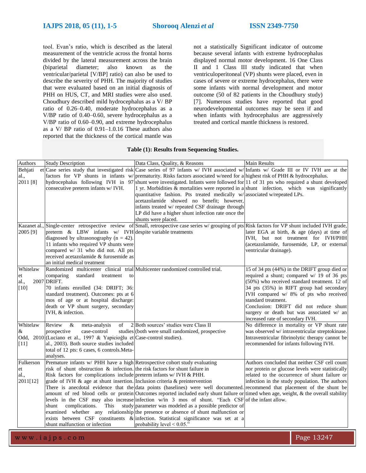tool. Evan's ratio, which is described as the lateral measurement of the ventricle across the frontal horns divided by the lateral measurement across the brain (biparietal diameter; also known as the ventricular/parietal [V/BP] ratio) can also be used to describe the severity of PHH. The majority of studies that were evaluated based on an initial diagnosis of PHH on HUS, CT, and MRI studies were also used. Choudhury described mild hydrocephalus as a V/ BP ratio of 0.26–0.40, moderate hydrocephalus as a V/BP ratio of 0.40–0.60, severe hydrocephalus as a V/BP ratio of 0.60–0.90, and extreme hydrocephalus as a V/ BP ratio of 0.91–1.0.16 These authors also reported that the thickness of the cortical mantle was

not a statistically Significant indicator of outcome because several infants with extreme hydrocephalus displayed normal motor development. 16 One Class II and 1 Class III study indicated that when ventriculoperitoneal (VP) shunts were placed, even in cases of severe or extreme hydrocephalus, there were some infants with normal development and motor outcome (50 of 82 patients in the Choudhury study) [7]. Numerous studies have reported that good neurodevelopmental outcomes may be seen if and when infants with hydrocephalus are aggressively treated and cortical mantle thickness is restored.

# **Table (1): Results from Sequencing Studies.**

| Authors     | <b>Study Description</b>                                                          | Data Class, Quality, & Reasons                                                                                                           | <b>Main Results</b>                              |
|-------------|-----------------------------------------------------------------------------------|------------------------------------------------------------------------------------------------------------------------------------------|--------------------------------------------------|
| Behjati     |                                                                                   | et Case series study that investigated risk Case series of 97 infants w/IVH associated w/Infants w/ Grade III or IV IVH are at the       |                                                  |
| al.,        | factors for VP shunts in infants w/                                               | prematurity. Risks factors associated w/need for a highest risk of PHH & hydrocephalus.                                                  |                                                  |
| 2011 [8]    |                                                                                   | hydrocephalus following IVH in 97 shunt were investigated. Infants were followed for 11 of 31 pts who required a shunt developed         |                                                  |
|             | consecutive preterm infants w/ IVH.                                               | 1 yr. Morbidities $\&$ mortalities were reported in a shunt infection, which was significantly                                           |                                                  |
|             |                                                                                   | quantitative fashion. Pts treated medically w/associated w/repeated LPs.                                                                 |                                                  |
|             |                                                                                   | acetazolamide showed no benefit; however,                                                                                                |                                                  |
|             |                                                                                   | infants treated w/ repeated CSF drainage through                                                                                         |                                                  |
|             |                                                                                   | LP did have a higher shunt infection rate once the                                                                                       |                                                  |
|             |                                                                                   | shunts were placed.                                                                                                                      |                                                  |
| Kazanet al. |                                                                                   | Single-center retrospective review of Small, retrospective case series $w$ grouping of pts Risk factors for VP shunt included IVH grade, |                                                  |
| 2005 [9]    | preterm $\&$ LBW infants w/ IVH despite variable treatments                       |                                                                                                                                          | later EGA at birth, & age (days) at time of      |
|             | diagnosed by ultrasonography ( $n = 42$ ).                                        |                                                                                                                                          | IVH, but not treatment for IVH/PHH               |
|             | 11 infants who required VP shunts were                                            |                                                                                                                                          | (acetazolamide, furosemide, LP, or external      |
|             | compared w/ 31 who did not. All pts                                               |                                                                                                                                          | ventricular drainage).                           |
|             | received acetazolamide & furosemide as                                            |                                                                                                                                          |                                                  |
|             | an initial medical treatment                                                      |                                                                                                                                          |                                                  |
| Whitelaw    | Randomized multicenter clinical trial Multicenter randomized controlled trial.    |                                                                                                                                          | 15 of 34 pts (44%) in the DRIFT group died or    |
| et          | standard<br>comparing<br>treatment<br>to                                          |                                                                                                                                          | required a shunt; compared w/ 19 of 36 pts       |
| al.,        | 2007 DRIFT.                                                                       |                                                                                                                                          | (50%) who received standard treatment. 12 of     |
| [10]        | 70 infants enrolled (34: DRIFT; 36:                                               |                                                                                                                                          | 34 pts (35%) in RIFT group had secondary         |
|             | standard treatment). Outcomes: pts at 6                                           |                                                                                                                                          | IVH compared w/ 8% of pts who received           |
|             | mos of age or at hospital discharge:                                              |                                                                                                                                          | standard treatment.                              |
|             | death or VP shunt surgery, secondary                                              |                                                                                                                                          | Conclusion: DRIFT did not reduce shunt           |
|             | IVH, & infection.                                                                 |                                                                                                                                          | surgery or death but was associated w/ an        |
|             |                                                                                   |                                                                                                                                          | increased rate of secondary IVH.                 |
| Whitelaw    | Review<br>$\&$<br>meta-analysis<br>of                                             | 2 Both sources' studies were Class II                                                                                                    | No difference in mortality or VP shunt rate      |
| &           | prospective<br>case-control                                                       | studies (both were small randomized, prospective                                                                                         | was observed w/ intraventricular streptokinase.  |
|             | Odd, 2010 (Luciano et al., 1997 & Yapicioğlu et Case-control studies).            |                                                                                                                                          | Intraventricular fibrinolytic therapy cannot be  |
| $[11]$      | al., 2003). Both source studies included                                          |                                                                                                                                          | recommended for infants following IVH.           |
|             | total of 12 pts: 6 cases, 6 controls. Meta-                                       |                                                                                                                                          |                                                  |
|             | analyses.                                                                         |                                                                                                                                          |                                                  |
| Fulkerson   | Premature infants w/ PHH have a high Retrospective cohort study evaluating        |                                                                                                                                          | Authors concluded that neither CSF cell count    |
| et          | risk of shunt obstruction & infection. the risk factors for shunt failure in      |                                                                                                                                          | nor protein or glucose levels were statistically |
| al.,        | Risk factors for complications include preterm infants w/ IVH & PHH.              |                                                                                                                                          | related to the occurrence of shunt failure or    |
| 2011[12]    | grade of IVH $\&$ age at shunt insertion. Inclusion criteria $\&$ preintervention |                                                                                                                                          | infection in the study population. The authors   |
|             |                                                                                   | There is anecdotal evidence that the data points (baselines) were well documented. recommend that placement of the shunt be              |                                                  |
|             |                                                                                   | amount of red blood cells or protein Outcomes reported included early shunt failure or timed when age, weight, & the overall stability   |                                                  |
|             |                                                                                   | levels in the CSF may also increase infection w/in 3 mos of shunt. "Each CSF of the infant allow.                                        |                                                  |
|             | complications.<br>This<br>shunt                                                   | study parameter was modeled as a possible predictor of                                                                                   |                                                  |
|             |                                                                                   | examined whether any relationship the presence or absence of shunt malfunction or                                                        |                                                  |
|             |                                                                                   | exists between CSF constituents & infection. Statistical significance was set at a                                                       |                                                  |
|             | shunt malfunction or infection                                                    | probability level $< 0.05$ ."                                                                                                            |                                                  |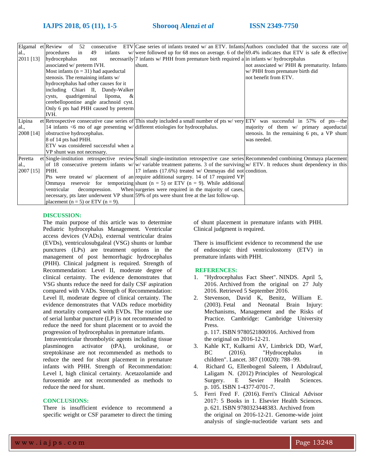|           |                                                                                    | Elgamal et Review of 52 consecutive ETV Case series of infants treated w/ an ETV. Infants Authors concluded that the success rate of         |                                              |
|-----------|------------------------------------------------------------------------------------|----------------------------------------------------------------------------------------------------------------------------------------------|----------------------------------------------|
| al.,      | procedures<br>infants<br>49<br>in                                                  | w/were followed up for 68 mos on average. 6 of the $69.4\%$ indicates that ETV is safe & effective                                           |                                              |
| 2011 [13] | hydrocephalus<br>not                                                               | necessarily 7 infants w/ PHH from premature birth required a in infants w/ hydrocephalus                                                     |                                              |
|           | associated w/ preterm IVH.                                                         | shunt.                                                                                                                                       | not associated w/ PHH & prematurity. Infants |
|           | Most infants ( $n = 31$ ) had aqueductal                                           |                                                                                                                                              | w/ PHH from premature birth did              |
|           | stenosis. The remaining infants w/                                                 |                                                                                                                                              | not benefit from ETV.                        |
|           | hydrocephalus had other causes for it                                              |                                                                                                                                              |                                              |
|           | including Chiari II, Dandy-Walker                                                  |                                                                                                                                              |                                              |
|           | quadrigeminal<br>lipoma,<br>cysts.<br>&                                            |                                                                                                                                              |                                              |
|           | cerebellopontine angle arachnoid cyst.                                             |                                                                                                                                              |                                              |
|           | Only 6 pts had PHH caused by preterm                                               |                                                                                                                                              |                                              |
|           | IVH.                                                                               |                                                                                                                                              |                                              |
| Lipina    |                                                                                    | et Retrospective consecutive case series of This study included a small number of pts w/very ETV was successful in 57% of pts—the            |                                              |
| al.,      | 14 infants $\leq 6$ mo of age presenting w/different etiologies for hydrocephalus. |                                                                                                                                              | majority of them w/ primary aqueductal       |
| 2008 [14] | obstructive hydrocephalus.                                                         |                                                                                                                                              | stenosis. In the remaining 6 pts, a VP shunt |
|           | 8 of 14 pts had PHH.                                                               |                                                                                                                                              | was needed.                                  |
|           | ETV was considered successful when a                                               |                                                                                                                                              |                                              |
|           | VP shunt was not necessary.                                                        |                                                                                                                                              |                                              |
| Peretta   |                                                                                    | et Single-institution retrospective review Small single-institution retrospective case series Recommended combining Ommaya placement         |                                              |
| al.,      |                                                                                    | of 18 consecutive preterm infants w/w/ variable treatment patterns. 3 of the surviving $\frac{w}{ETV}$ . It reduces shunt dependency in this |                                              |
| 2007 [15] | PHH.                                                                               | 17 infants $(17.6\%)$ treated w/ Ommayas did not condition.                                                                                  |                                              |
|           |                                                                                    | Pts were treated w/ placement of an require additional surgery. 14 of 17 required VP                                                         |                                              |
|           |                                                                                    | Ommaya reservoir for temporizing shunt ( $n = 5$ ) or ETV ( $n = 9$ ). While additional                                                      |                                              |
|           | ventricular                                                                        | decompression. When surgeries were required in the majority of cases,                                                                        |                                              |
|           |                                                                                    | necessary, pts later underwent VP shunt 59% of pts were shunt free at the last follow-up.                                                    |                                              |
|           | placement ( $n = 5$ ) or ETV ( $n = 9$ ).                                          |                                                                                                                                              |                                              |

# **DISCUSSION:**

The main purpose of this article was to determine Pediatric hydrocephalus Management. Ventricular access devices (VADs), external ventricular drains (EVDs), ventriculosubgaleal (VSG) shunts or lumbar punctures (LPs) are treatment options in the management of post hemorrhagic hydrocephalus (PHH). Clinical judgment is required. Strength of Recommendation: Level II, moderate degree of clinical certainty. The evidence demonstrates that VSG shunts reduce the need for daily CSF aspiration compared with VADs. Strength of Recommendation: Level II, moderate degree of clinical certainty. The evidence demonstrates that VADs reduce morbidity and mortality compared with EVDs. The routine use of serial lumbar puncture (LP) is not recommended to reduce the need for shunt placement or to avoid the progression of hydrocephalus in premature infants.

Intraventricular thrombolytic agents including tissue plasminogen activator (tPA), urokinase, or streptokinase are not recommended as methods to reduce the need for shunt placement in premature infants with PHH. Strength of Recommendation: Level I, high clinical certainty. Acetazolamide and furosemide are not recommended as methods to reduce the need for shunt.

# **CONCLUSIONS:**

There is insufficient evidence to recommend a specific weight or CSF parameter to direct the timing of shunt placement in premature infants with PHH. Clinical judgment is required.

There is insufficient evidence to recommend the use of endoscopic third ventriculostomy (ETV) in premature infants with PHH.

# **REFERENCES:**

- 1. ["Hydrocephalus Fact Sheet".](http://www.ninds.nih.gov/disorders/hydrocephalus/detail_hydrocephalus.htm) NINDS. April 5, 2016. [Archived](https://web.archive.org/web/20160727231854/http:/www.ninds.nih.gov/disorders/hydrocephalus/detail_hydrocephalus.htm) from the original on 27 July 2016. Retrieved 5 September 2016.
- 2. Stevenson, David K, Benitz, William E. (2003). [Fetal and Neonatal Brain Injury:](https://books.google.com/books?id=RuekFAj_tIAC&pg=PA117)  [Mechanisms, Management and the Risks of](https://books.google.com/books?id=RuekFAj_tIAC&pg=PA117)  [Practice.](https://books.google.com/books?id=RuekFAj_tIAC&pg=PA117) Cambridge: Cambridge University Press.

p. 117. [ISBN](https://en.wikipedia.org/wiki/International_Standard_Book_Number) [9780521806916.](https://en.wikipedia.org/wiki/Special:BookSources/9780521806916) [Archived](https://web.archive.org/web/20161221212406/https:/books.google.com/books?id=RuekFAj_tIAC&pg=PA117) from the original on 2016-12-21.

- 3. Kahle KT, Kulkarni AV, Limbrick DD, Warf, BC (2016). "Hydrocephalus in children". Lancet. 387 (10020): 788–99.
- 4. Richard G, Ellenbogenl Saleem, I Abdulrauf, Laligam N. (2012) [Principles of Neurological](https://books.google.com/books?id=vMtRtuz5mnwC&pg=PA105)  [Surgery.](https://books.google.com/books?id=vMtRtuz5mnwC&pg=PA105) E Sevier Health Sciences. p. 105. [ISBN](https://en.wikipedia.org/wiki/International_Standard_Book_Number) [1-4377-0701-7.](https://en.wikipedia.org/wiki/Special:BookSources/1-4377-0701-7)
- 5. Ferri Fred F. (2016). [Ferri's Clinical Advisor](https://books.google.com/books?id=rRhCDAAAQBAJ&pg=PA621)  [2017: 5 Books in 1.](https://books.google.com/books?id=rRhCDAAAQBAJ&pg=PA621) Elsevier Health Sciences. p. 621. [ISBN](https://en.wikipedia.org/wiki/International_Standard_Book_Number) [9780323448383.](https://en.wikipedia.org/wiki/Special:BookSources/9780323448383) [Archived](https://web.archive.org/web/20161221201502/https:/books.google.com/books?id=rRhCDAAAQBAJ&pg=PA621) from the original on 2016-12-21. Genome-wide joint analysis of single-nucleotide variant sets and